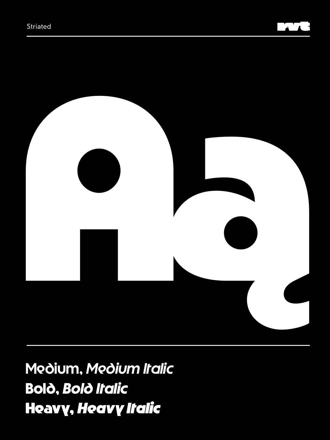



Medium, Medium Italic **Bolò, Bolò Italic** Heavy, Heavy Italic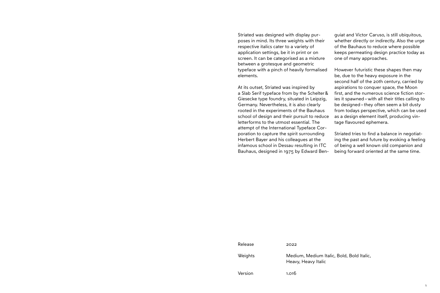Striated was designed with display purposes in mind. Its three weights with their respective italics cater to a variety of application settings, be it in print or on screen. It can be categorised as a mixture between a grotesque and geometric typeface with a pinch of heavily formalised elements.

At its outset, Striated was inspired by a Slab Serif typeface from by the Schelter& Giesecke type foundry, situated in Leipzig, Germany. Nevertheless, it is also clearly rooted in the experiments of the Bauhaus school of design and their pursuit to reduce letterforms to the utmost essential. The attempt of the International Typeface Corporation to capture the spirit surrounding Herbert Bayer and his colleagues at the infamous school in Dessau resulting in ITC Bauhaus, designed in 1975 by Edward Ben-

guiat and Victor Caruso, is still ubiquitous, whether directly or indirectly. Also the urge of the Bauhaus to reduce where possible keeps permeating design practice today as one of many approaches.

However futuristic these shapes then may be, due to the heavy exposure in the second half of the 20th century, carried by aspirations to conquer space, the Moon first, and the numerous science fiction stories it spawned –with all their titles calling to be designed – they often seem a bit dusty from todays perspective, which can be used as a design element itself, producing vintage flavoured ephemera.

Striated tries to find a balance in negotiating the past and future by evoking a feeling of being a well known old companion and being forward oriented at the same time.

| Release | 2022                                                             |
|---------|------------------------------------------------------------------|
| Weights | Medium, Medium Italic, Bold, Bold Italic,<br>Heavy, Heavy Italic |
| Version | 1.016                                                            |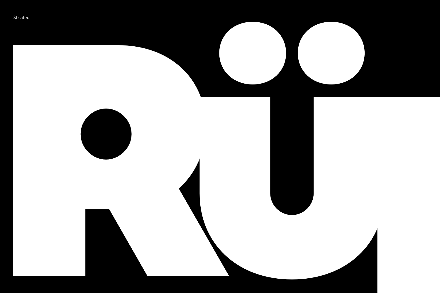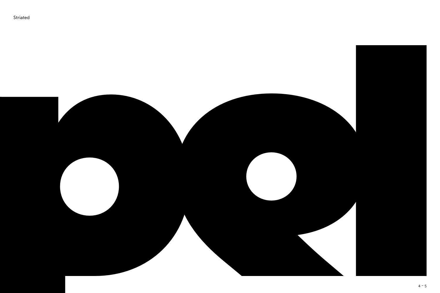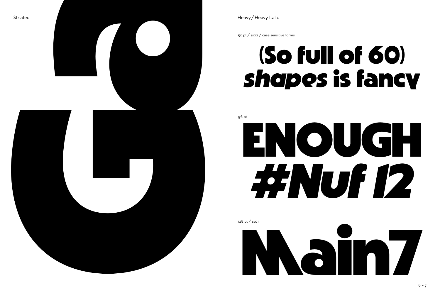

Heavy/Heavy Italic

50 pt / sso2 / case sensitive forms

# (So full of 60) shapes is fancy

96 pt

# ENOUGH **FENUI 12**

128 pt / sso1

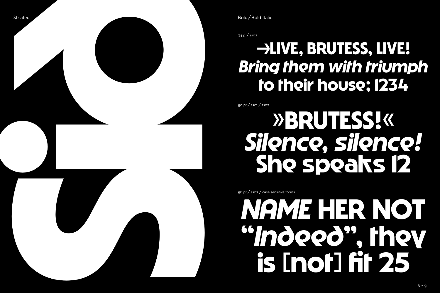

34 pt/ ss02

# **→LIVE, BRUTESS, LIVE!** *Bring them with triumph* **to their house; 1234**

50 pt / ss01 / ss02

# **»BRUTESS!«** *Silence, silence!* **She speaks 12**

56 pt / ss02 / case sensitive forms

# *NAME* **HER NOT "***Indeed***", they**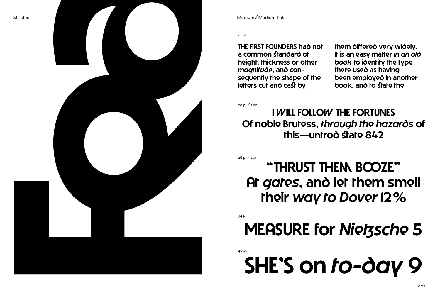

14 pt

THE FIRST FOUNDERS had not a common standard of height, thickness or other *magnitude*, and consequently the shape of the letters cut and cast by

them differed very widely. It is an easy matter *in an old book* to identify the type there used as having been employed in another book, and to state the

20 pt / ss01

I WILL FOLLOW THE FORTUNES Of noble Brutess, *through the hazards* of this—untrod state 842

28 pt / ss01

## "THRUST THEM BOOZE" At *gates*, and let them smell their *way to Dover* 12%

34 pt

# MEASURE for *Nietzsche* 5

46 pt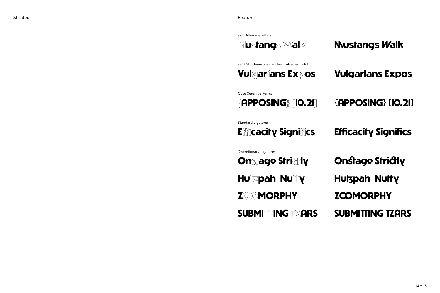ss01 Alternate letters

**Mustangs Walk Vulgarians Expos {APPOSING} [10.21] Efficacity Significs Onstage Strictly ZOOMORPHY SUBMITTING TZARS Hutzpah Nutty Mustangs Walk Vulgarians Expos {APPOSING} [10.21] Efficacity Significs Onstage Strictly ZOOMORPHY SUBMITTING TZARS Hutzpah Nutty** ss02 Shortened descenders, retracted i-dot Case Sensitive Forms Standard Ligatures Discretionary Ligatures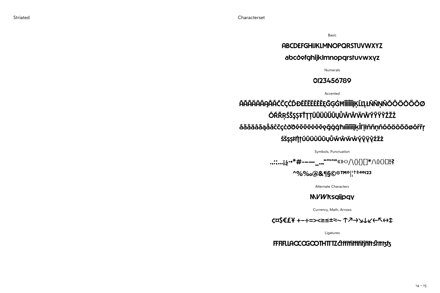Striated

Basic

### **ABCDEFGHIJKLMNOPQRSTUVWXYZ**

### abcdefghijklmnopgrstuvwxyz

Numerals

### 0123456789

Accented

## ŔĂŔŔŔŔŔŔŔĊĊĊĊĎĐĔĔĔĔĖĔĔĘĞĢĠĦĨĨĨĨĨĨĮĶĹĽĻŔŇŅŇŌÔÖŎŐŌØ **ŎŔŔŖŚŠŞŞŦŤŢŢŨŨÜŨŰŨŲŮŴŴŴŴŶŶŸŶŹŹŹ** áăâääāąåâćčçċðôéĕêëèèēęğġġħiîìiīiiįķ徦łńňņňóôöòőōøőŕřŗ **ŚŠŞŞFI [IÚÛÜÜŰŪŲŮŴŴŴŴŶŶŸŶŹŽŻ**

Symbols, Punctuation

.,:;...j¿.•\*#---\_\_,,,"""""«»<>/\(){}[]\*/\(){}[!?

^%%0@&15©®ТМ0|!+‡а0123

Alternate Characters

### **NVWksgiipgy**

Currency, Math, Arrows

C¤S€£¥ +-÷=><≥≤±≈~ ↑7→JJLK←R+J

Ligatures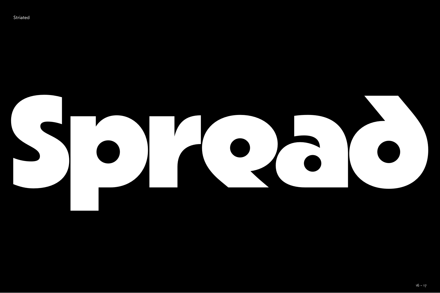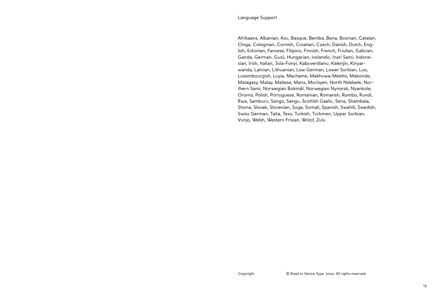Afrikaans, Albanian, Asu, Basque, Bemba, Bena, Bosnian, Catalan, Chiga, Colognian, Cornish, Croatian, Czech, Danish, Dutch, English, Estonian, Faroese, Filipino, Finnish, French, Friulian, Galician, Ganda, German, Gusii, Hungarian, Icelandic, Inari Sami, Indonesian, Irish, Italian, Jola-Fonyi, Kabuverdianu, Kalenjin, Kinyarwanda, Latvian, Lithuanian, Low German, Lower Sorbian, Luo, Luxembourgish, Luyia, Machame, Makhuwa-Meetto, Makonde, Malagasy, Malay, Maltese, Manx, Morisyen, North Ndebele, Northern Sami, Norwegian Bokmål, Norwegian Nynorsk, Nyankole, Oromo, Polish, Portuguese, Romanian, Romansh, Rombo, Rundi, Rwa, Samburu, Sango, Sangu, Scottish Gaelic, Sena, Shambala, Shona, Slovak, Slovenian, Soga, Somali, Spanish, Swahili, Swedish, Swiss German, Taita, Teso, Turkish, Turkmen, Upper Sorbian, Vunjo, Welsh, Western Frisian, Wolof, Zulu